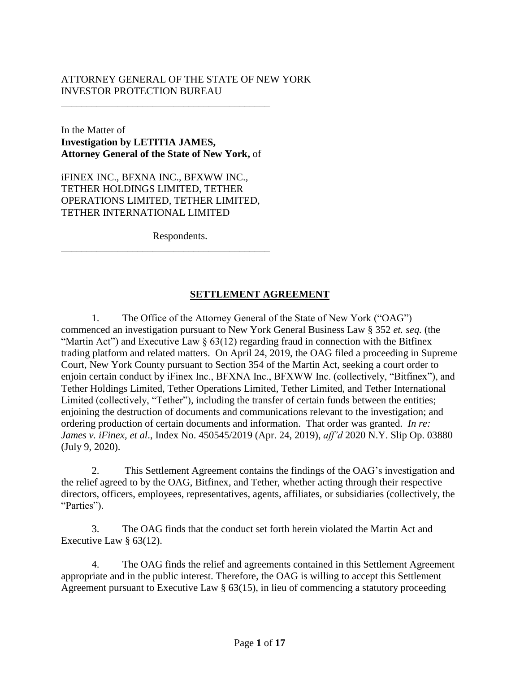## ATTORNEY GENERAL OF THE STATE OF NEW YORK INVESTOR PROTECTION BUREAU

In the Matter of **Investigation by LETITIA JAMES, Attorney General of the State of New York,** of

\_\_\_\_\_\_\_\_\_\_\_\_\_\_\_\_\_\_\_\_\_\_\_\_\_\_\_\_\_\_\_\_\_\_\_\_\_\_\_\_\_

iFINEX INC., BFXNA INC., BFXWW INC., TETHER HOLDINGS LIMITED, TETHER OPERATIONS LIMITED, TETHER LIMITED, TETHER INTERNATIONAL LIMITED

\_\_\_\_\_\_\_\_\_\_\_\_\_\_\_\_\_\_\_\_\_\_\_\_\_\_\_\_\_\_\_\_\_\_\_\_\_\_\_\_\_

Respondents.

## **SETTLEMENT AGREEMENT**

1. The Office of the Attorney General of the State of New York ("OAG") commenced an investigation pursuant to New York General Business Law § 352 *et. seq.* (the "Martin Act") and Executive Law  $\S$  63(12) regarding fraud in connection with the Bitfinex trading platform and related matters. On April 24, 2019, the OAG filed a proceeding in Supreme Court, New York County pursuant to Section 354 of the Martin Act, seeking a court order to enjoin certain conduct by iFinex Inc., BFXNA Inc., BFXWW Inc. (collectively, "Bitfinex"), and Tether Holdings Limited, Tether Operations Limited, Tether Limited, and Tether International Limited (collectively, "Tether"), including the transfer of certain funds between the entities; enjoining the destruction of documents and communications relevant to the investigation; and ordering production of certain documents and information. That order was granted. *In re: James v. iFinex, et al*., Index No. 450545/2019 (Apr. 24, 2019), *aff'd* 2020 N.Y. Slip Op. 03880 (July 9, 2020).

2. This Settlement Agreement contains the findings of the OAG's investigation and the relief agreed to by the OAG, Bitfinex, and Tether, whether acting through their respective directors, officers, employees, representatives, agents, affiliates, or subsidiaries (collectively, the "Parties").

3. The OAG finds that the conduct set forth herein violated the Martin Act and Executive Law § 63(12).

4. The OAG finds the relief and agreements contained in this Settlement Agreement appropriate and in the public interest. Therefore, the OAG is willing to accept this Settlement Agreement pursuant to Executive Law § 63(15), in lieu of commencing a statutory proceeding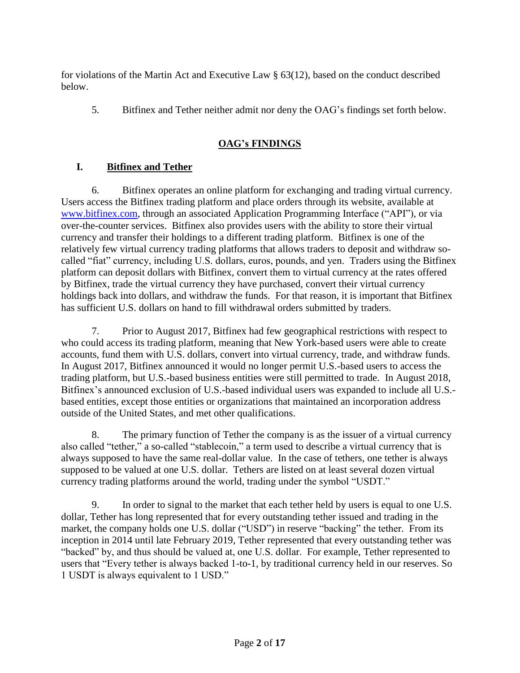for violations of the Martin Act and Executive Law § 63(12), based on the conduct described below.

5. Bitfinex and Tether neither admit nor deny the OAG's findings set forth below.

# **OAG's FINDINGS**

## **I. Bitfinex and Tether**

6. Bitfinex operates an online platform for exchanging and trading virtual currency. Users access the Bitfinex trading platform and place orders through its website, available at [www.bitfinex.com,](http://www.bitfinex.com/) through an associated Application Programming Interface ("API"), or via over-the-counter services. Bitfinex also provides users with the ability to store their virtual currency and transfer their holdings to a different trading platform. Bitfinex is one of the relatively few virtual currency trading platforms that allows traders to deposit and withdraw socalled "fiat" currency, including U.S. dollars, euros, pounds, and yen. Traders using the Bitfinex platform can deposit dollars with Bitfinex, convert them to virtual currency at the rates offered by Bitfinex, trade the virtual currency they have purchased, convert their virtual currency holdings back into dollars, and withdraw the funds. For that reason, it is important that Bitfinex has sufficient U.S. dollars on hand to fill withdrawal orders submitted by traders.

7. Prior to August 2017, Bitfinex had few geographical restrictions with respect to who could access its trading platform, meaning that New York-based users were able to create accounts, fund them with U.S. dollars, convert into virtual currency, trade, and withdraw funds. In August 2017, Bitfinex announced it would no longer permit U.S.-based users to access the trading platform, but U.S.-based business entities were still permitted to trade. In August 2018, Bitfinex's announced exclusion of U.S.-based individual users was expanded to include all U.S. based entities, except those entities or organizations that maintained an incorporation address outside of the United States, and met other qualifications.

8. The primary function of Tether the company is as the issuer of a virtual currency also called "tether," a so-called "stablecoin," a term used to describe a virtual currency that is always supposed to have the same real-dollar value. In the case of tethers, one tether is always supposed to be valued at one U.S. dollar. Tethers are listed on at least several dozen virtual currency trading platforms around the world, trading under the symbol "USDT."

9. In order to signal to the market that each tether held by users is equal to one U.S. dollar, Tether has long represented that for every outstanding tether issued and trading in the market, the company holds one U.S. dollar ("USD") in reserve "backing" the tether. From its inception in 2014 until late February 2019, Tether represented that every outstanding tether was "backed" by, and thus should be valued at, one U.S. dollar. For example, Tether represented to users that "Every tether is always backed 1-to-1, by traditional currency held in our reserves. So 1 USDT is always equivalent to 1 USD."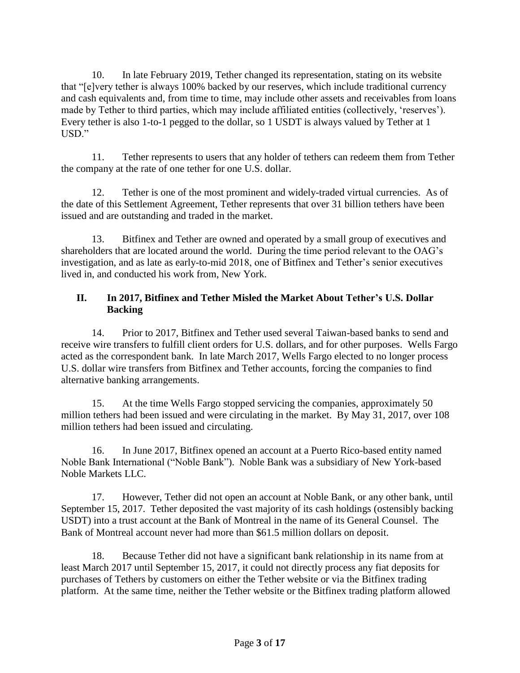10. In late February 2019, Tether changed its representation, stating on its website that "[e]very tether is always 100% backed by our reserves, which include traditional currency and cash equivalents and, from time to time, may include other assets and receivables from loans made by Tether to third parties, which may include affiliated entities (collectively, 'reserves'). Every tether is also 1-to-1 pegged to the dollar, so 1 USDT is always valued by Tether at 1 USD."

11. Tether represents to users that any holder of tethers can redeem them from Tether the company at the rate of one tether for one U.S. dollar.

12. Tether is one of the most prominent and widely-traded virtual currencies. As of the date of this Settlement Agreement, Tether represents that over 31 billion tethers have been issued and are outstanding and traded in the market.

13. Bitfinex and Tether are owned and operated by a small group of executives and shareholders that are located around the world. During the time period relevant to the OAG's investigation, and as late as early-to-mid 2018, one of Bitfinex and Tether's senior executives lived in, and conducted his work from, New York.

## **II. In 2017, Bitfinex and Tether Misled the Market About Tether's U.S. Dollar Backing**

14. Prior to 2017, Bitfinex and Tether used several Taiwan-based banks to send and receive wire transfers to fulfill client orders for U.S. dollars, and for other purposes. Wells Fargo acted as the correspondent bank. In late March 2017, Wells Fargo elected to no longer process U.S. dollar wire transfers from Bitfinex and Tether accounts, forcing the companies to find alternative banking arrangements.

15. At the time Wells Fargo stopped servicing the companies, approximately 50 million tethers had been issued and were circulating in the market. By May 31, 2017, over 108 million tethers had been issued and circulating.

16. In June 2017, Bitfinex opened an account at a Puerto Rico-based entity named Noble Bank International ("Noble Bank"). Noble Bank was a subsidiary of New York-based Noble Markets LLC.

17. However, Tether did not open an account at Noble Bank, or any other bank, until September 15, 2017. Tether deposited the vast majority of its cash holdings (ostensibly backing USDT) into a trust account at the Bank of Montreal in the name of its General Counsel. The Bank of Montreal account never had more than \$61.5 million dollars on deposit.

18. Because Tether did not have a significant bank relationship in its name from at least March 2017 until September 15, 2017, it could not directly process any fiat deposits for purchases of Tethers by customers on either the Tether website or via the Bitfinex trading platform. At the same time, neither the Tether website or the Bitfinex trading platform allowed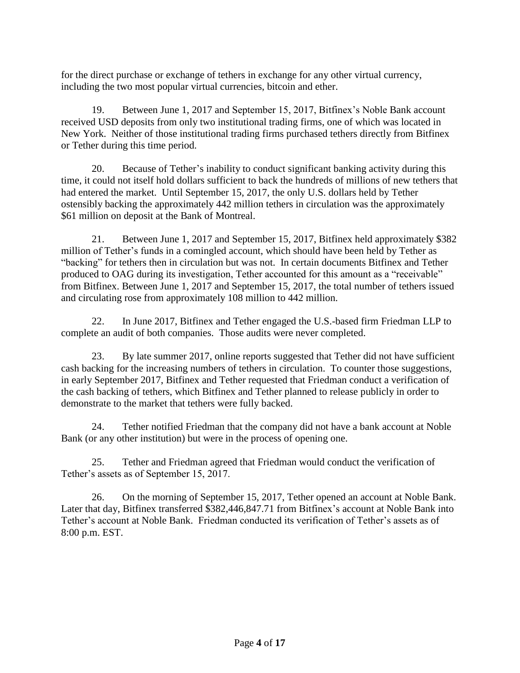for the direct purchase or exchange of tethers in exchange for any other virtual currency, including the two most popular virtual currencies, bitcoin and ether.

19. Between June 1, 2017 and September 15, 2017, Bitfinex's Noble Bank account received USD deposits from only two institutional trading firms, one of which was located in New York. Neither of those institutional trading firms purchased tethers directly from Bitfinex or Tether during this time period.

20. Because of Tether's inability to conduct significant banking activity during this time, it could not itself hold dollars sufficient to back the hundreds of millions of new tethers that had entered the market. Until September 15, 2017, the only U.S. dollars held by Tether ostensibly backing the approximately 442 million tethers in circulation was the approximately \$61 million on deposit at the Bank of Montreal.

21. Between June 1, 2017 and September 15, 2017, Bitfinex held approximately \$382 million of Tether's funds in a comingled account, which should have been held by Tether as "backing" for tethers then in circulation but was not. In certain documents Bitfinex and Tether produced to OAG during its investigation, Tether accounted for this amount as a "receivable" from Bitfinex. Between June 1, 2017 and September 15, 2017, the total number of tethers issued and circulating rose from approximately 108 million to 442 million.

22. In June 2017, Bitfinex and Tether engaged the U.S.-based firm Friedman LLP to complete an audit of both companies. Those audits were never completed.

23. By late summer 2017, online reports suggested that Tether did not have sufficient cash backing for the increasing numbers of tethers in circulation. To counter those suggestions, in early September 2017, Bitfinex and Tether requested that Friedman conduct a verification of the cash backing of tethers, which Bitfinex and Tether planned to release publicly in order to demonstrate to the market that tethers were fully backed.

24. Tether notified Friedman that the company did not have a bank account at Noble Bank (or any other institution) but were in the process of opening one.

25. Tether and Friedman agreed that Friedman would conduct the verification of Tether's assets as of September 15, 2017.

26. On the morning of September 15, 2017, Tether opened an account at Noble Bank. Later that day, Bitfinex transferred \$382,446,847.71 from Bitfinex's account at Noble Bank into Tether's account at Noble Bank. Friedman conducted its verification of Tether's assets as of 8:00 p.m. EST.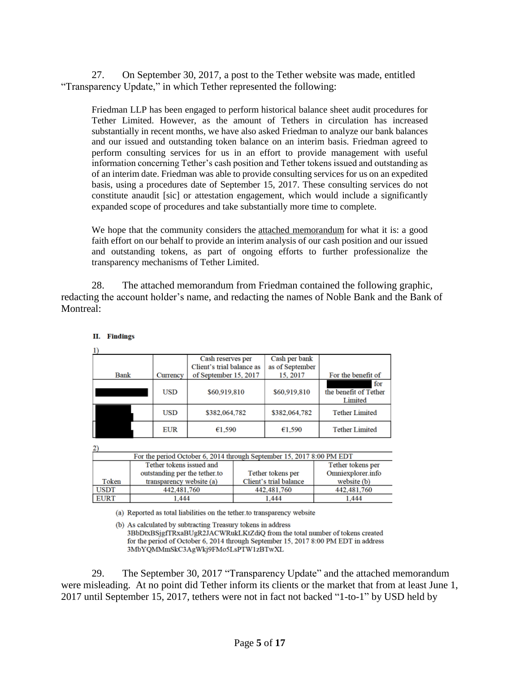27. On September 30, 2017, a post to the Tether website was made, entitled "Transparency Update," in which Tether represented the following:

Friedman LLP has been engaged to perform historical balance sheet audit procedures for Tether Limited. However, as the amount of Tethers in circulation has increased substantially in recent months, we have also asked Friedman to analyze our bank balances and our issued and outstanding token balance on an interim basis. Friedman agreed to perform consulting services for us in an effort to provide management with useful information concerning Tether's cash position and Tether tokens issued and outstanding as of an interim date. Friedman was able to provide consulting services for us on an expedited basis, using a procedures date of September 15, 2017. These consulting services do not constitute anaudit [sic] or attestation engagement, which would include a significantly expanded scope of procedures and take substantially more time to complete.

We hope that the community considers the attached [memorandum](https://tether.to/wp-content/uploads/2017/09/Final-Tether-Consulting-Report-9-15-17_Redacted.pdf) for what it is: a good faith effort on our behalf to provide an interim analysis of our cash position and our issued and outstanding tokens, as part of ongoing efforts to further professionalize the transparency mechanisms of Tether Limited.

28. The attached memorandum from Friedman contained the following graphic, redacting the account holder's name, and redacting the names of Noble Bank and the Bank of Montreal:

|             |            | Cash reserves per<br>Client's trial balance as | Cash per bank<br>as of September |                                         |
|-------------|------------|------------------------------------------------|----------------------------------|-----------------------------------------|
| <b>Bank</b> | Currency   | of September 15, 2017                          | 15, 2017                         | For the benefit of                      |
|             | USD        | \$60,919,810                                   | \$60,919,810                     | for<br>the benefit of Tether<br>Limited |
|             | USD        | \$382,064,782                                  | \$382,064,782                    | <b>Tether Limited</b>                   |
|             | <b>EUR</b> | €1,590                                         | €1,590                           | <b>Tether Limited</b>                   |

II. Findings

 $\mathbf{1}$ 

| For the period October 6, 2014 through September 15, 2017 8:00 PM EDT |                               |                        |                   |  |  |  |
|-----------------------------------------------------------------------|-------------------------------|------------------------|-------------------|--|--|--|
|                                                                       | Tether tokens issued and      |                        | Tether tokens per |  |  |  |
|                                                                       | outstanding per the tether.to | Tether tokens per      | Omniexplorer.info |  |  |  |
| Token                                                                 | transparency website (a)      | Client's trial balance | website (b)       |  |  |  |
| <b>USDT</b>                                                           | 442,481,760                   | 442,481,760            | 442,481,760       |  |  |  |
| <b>EURT</b>                                                           | 1.444                         | 1.444                  | 1.444             |  |  |  |

(a) Reported as total liabilities on the tether to transparency website

(b) As calculated by subtracting Treasury tokens in address 3BbDtxBSjgfTRxaBUgR2JACWRukLKtZdiQ from the total number of tokens created for the period of October 6, 2014 through September 15, 2017 8:00 PM EDT in address 3MbYQMMmSkC3AgWkj9FMo5LsPTW1zBTwXL

29. The September 30, 2017 "Transparency Update" and the attached memorandum were misleading. At no point did Tether inform its clients or the market that from at least June 1, 2017 until September 15, 2017, tethers were not in fact not backed "1-to-1" by USD held by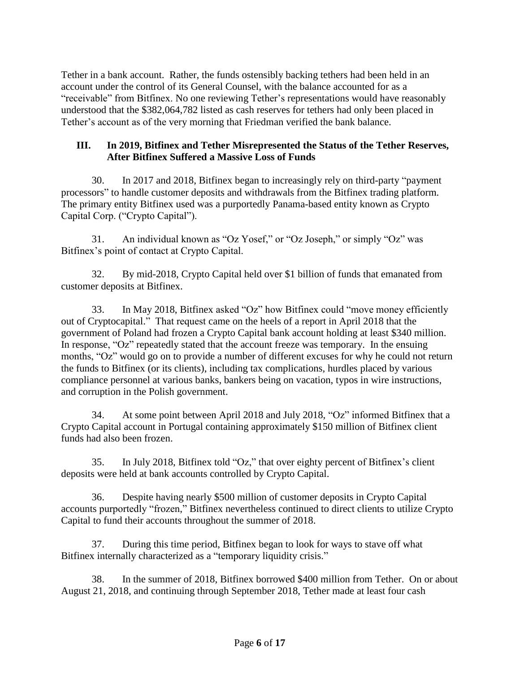Tether in a bank account. Rather, the funds ostensibly backing tethers had been held in an account under the control of its General Counsel, with the balance accounted for as a "receivable" from Bitfinex. No one reviewing Tether's representations would have reasonably understood that the \$382,064,782 listed as cash reserves for tethers had only been placed in Tether's account as of the very morning that Friedman verified the bank balance.

## **III. In 2019, Bitfinex and Tether Misrepresented the Status of the Tether Reserves, After Bitfinex Suffered a Massive Loss of Funds**

30. In 2017 and 2018, Bitfinex began to increasingly rely on third-party "payment processors" to handle customer deposits and withdrawals from the Bitfinex trading platform. The primary entity Bitfinex used was a purportedly Panama-based entity known as Crypto Capital Corp. ("Crypto Capital").

31. An individual known as "Oz Yosef," or "Oz Joseph," or simply "Oz" was Bitfinex's point of contact at Crypto Capital.

32. By mid-2018, Crypto Capital held over \$1 billion of funds that emanated from customer deposits at Bitfinex.

33. In May 2018, Bitfinex asked "Oz" how Bitfinex could "move money efficiently out of Cryptocapital." That request came on the heels of a report in April 2018 that the government of Poland had frozen a Crypto Capital bank account holding at least \$340 million. In response, "Oz" repeatedly stated that the account freeze was temporary. In the ensuing months, "Oz" would go on to provide a number of different excuses for why he could not return the funds to Bitfinex (or its clients), including tax complications, hurdles placed by various compliance personnel at various banks, bankers being on vacation, typos in wire instructions, and corruption in the Polish government.

34. At some point between April 2018 and July 2018, "Oz" informed Bitfinex that a Crypto Capital account in Portugal containing approximately \$150 million of Bitfinex client funds had also been frozen.

35. In July 2018, Bitfinex told "Oz," that over eighty percent of Bitfinex's client deposits were held at bank accounts controlled by Crypto Capital.

36. Despite having nearly \$500 million of customer deposits in Crypto Capital accounts purportedly "frozen," Bitfinex nevertheless continued to direct clients to utilize Crypto Capital to fund their accounts throughout the summer of 2018.

37. During this time period, Bitfinex began to look for ways to stave off what Bitfinex internally characterized as a "temporary liquidity crisis."

38. In the summer of 2018, Bitfinex borrowed \$400 million from Tether. On or about August 21, 2018, and continuing through September 2018, Tether made at least four cash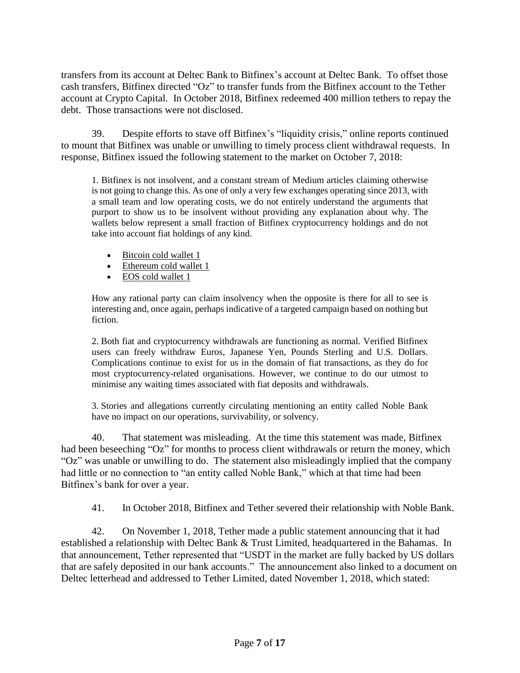transfers from its account at Deltec Bank to Bitfinex's account at Deltec Bank. To offset those cash transfers, Bitfinex directed "Oz" to transfer funds from the Bitfinex account to the Tether account at Crypto Capital. In October 2018, Bitfinex redeemed 400 million tethers to repay the debt. Those transactions were not disclosed.

39. Despite efforts to stave off Bitfinex's "liquidity crisis," online reports continued to mount that Bitfinex was unable or unwilling to timely process client withdrawal requests. In response, Bitfinex issued the following statement to the market on October 7, 2018:

1. Bitfinex is not insolvent, and a constant stream of Medium articles claiming otherwise is not going to change this. As one of only a very few exchanges operating since 2013, with a small team and low operating costs, we do not entirely understand the arguments that purport to show us to be insolvent without providing any explanation about why. The wallets below represent a small fraction of Bitfinex cryptocurrency holdings and do not take into account fiat holdings of any kind.

- [Bitcoin](https://bitinfocharts.com/bitcoin/address/3D2oetdNuZUqQHPJmcMDDHYoqkyNVsFk9r) cold wallet 1
- [Ethereum](https://etherscan.io/address/0x742d35cc6634c0532925a3b844bc454e4438f44e) cold wallet 1
- EOS cold [wallet](https://bloks.io/account/bitfinexcw55) 1

How any rational party can claim insolvency when the opposite is there for all to see is interesting and, once again, perhaps indicative of a targeted campaign based on nothing but fiction.

2. Both fiat and cryptocurrency withdrawals are functioning as normal. Verified Bitfinex users can freely withdraw Euros, Japanese Yen, Pounds Sterling and U.S. Dollars. Complications continue to exist for us in the domain of fiat transactions, as they do for most cryptocurrency-related organisations. However, we continue to do our utmost to minimise any waiting times associated with fiat deposits and withdrawals.

3. Stories and allegations currently circulating mentioning an entity called Noble Bank have no impact on our operations, survivability, or solvency.

40. That statement was misleading. At the time this statement was made, Bitfinex had been beseeching "Oz" for months to process client withdrawals or return the money, which "Oz" was unable or unwilling to do. The statement also misleadingly implied that the company had little or no connection to "an entity called Noble Bank," which at that time had been Bitfinex's bank for over a year.

41. In October 2018, Bitfinex and Tether severed their relationship with Noble Bank.

42. On November 1, 2018, Tether made a public statement announcing that it had established a relationship with Deltec Bank & Trust Limited, headquartered in the Bahamas. In that announcement, Tether represented that "USDT in the market are fully backed by US dollars that are safely deposited in our bank accounts." The announcement also linked to a document on Deltec letterhead and addressed to Tether Limited, dated November 1, 2018, which stated: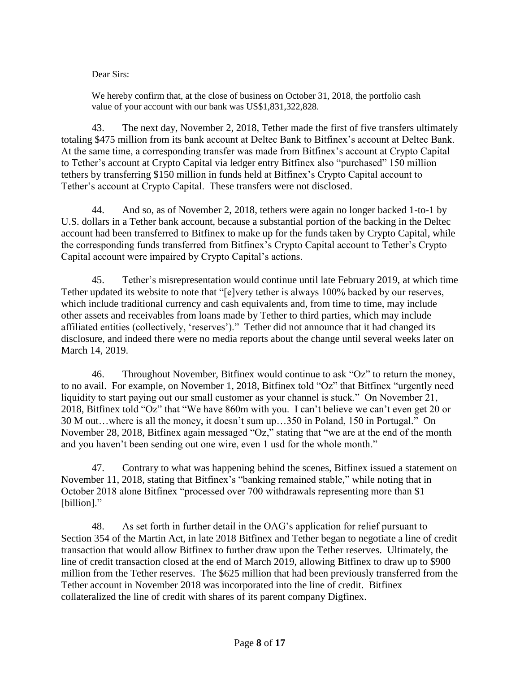Dear Sirs:

We hereby confirm that, at the close of business on October 31, 2018, the portfolio cash value of your account with our bank was US\$1,831,322,828.

43. The next day, November 2, 2018, Tether made the first of five transfers ultimately totaling \$475 million from its bank account at Deltec Bank to Bitfinex's account at Deltec Bank. At the same time, a corresponding transfer was made from Bitfinex's account at Crypto Capital to Tether's account at Crypto Capital via ledger entry Bitfinex also "purchased" 150 million tethers by transferring \$150 million in funds held at Bitfinex's Crypto Capital account to Tether's account at Crypto Capital. These transfers were not disclosed.

44. And so, as of November 2, 2018, tethers were again no longer backed 1-to-1 by U.S. dollars in a Tether bank account, because a substantial portion of the backing in the Deltec account had been transferred to Bitfinex to make up for the funds taken by Crypto Capital, while the corresponding funds transferred from Bitfinex's Crypto Capital account to Tether's Crypto Capital account were impaired by Crypto Capital's actions.

45. Tether's misrepresentation would continue until late February 2019, at which time Tether updated its website to note that "[e]very tether is always 100% backed by our reserves, which include traditional currency and cash equivalents and, from time to time, may include other assets and receivables from loans made by Tether to third parties, which may include affiliated entities (collectively, 'reserves')." Tether did not announce that it had changed its disclosure, and indeed there were no media reports about the change until several weeks later on March 14, 2019.

46. Throughout November, Bitfinex would continue to ask "Oz" to return the money, to no avail. For example, on November 1, 2018, Bitfinex told "Oz" that Bitfinex "urgently need liquidity to start paying out our small customer as your channel is stuck." On November 21, 2018, Bitfinex told "Oz" that "We have 860m with you. I can't believe we can't even get 20 or 30 M out…where is all the money, it doesn't sum up…350 in Poland, 150 in Portugal." On November 28, 2018, Bitfinex again messaged "Oz," stating that "we are at the end of the month and you haven't been sending out one wire, even 1 usd for the whole month."

47. Contrary to what was happening behind the scenes, Bitfinex issued a statement on November 11, 2018, stating that Bitfinex's "banking remained stable," while noting that in October 2018 alone Bitfinex "processed over 700 withdrawals representing more than \$1 [billion]."

48. As set forth in further detail in the OAG's application for relief pursuant to Section 354 of the Martin Act, in late 2018 Bitfinex and Tether began to negotiate a line of credit transaction that would allow Bitfinex to further draw upon the Tether reserves. Ultimately, the line of credit transaction closed at the end of March 2019, allowing Bitfinex to draw up to \$900 million from the Tether reserves. The \$625 million that had been previously transferred from the Tether account in November 2018 was incorporated into the line of credit. Bitfinex collateralized the line of credit with shares of its parent company Digfinex.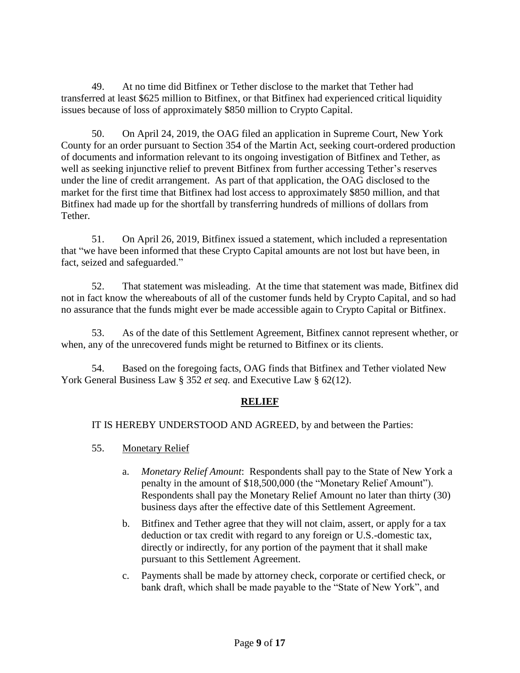49. At no time did Bitfinex or Tether disclose to the market that Tether had transferred at least \$625 million to Bitfinex, or that Bitfinex had experienced critical liquidity issues because of loss of approximately \$850 million to Crypto Capital.

50. On April 24, 2019, the OAG filed an application in Supreme Court, New York County for an order pursuant to Section 354 of the Martin Act, seeking court-ordered production of documents and information relevant to its ongoing investigation of Bitfinex and Tether, as well as seeking injunctive relief to prevent Bitfinex from further accessing Tether's reserves under the line of credit arrangement. As part of that application, the OAG disclosed to the market for the first time that Bitfinex had lost access to approximately \$850 million, and that Bitfinex had made up for the shortfall by transferring hundreds of millions of dollars from Tether.

51. On April 26, 2019, Bitfinex issued a statement, which included a representation that "we have been informed that these Crypto Capital amounts are not lost but have been, in fact, seized and safeguarded."

52. That statement was misleading. At the time that statement was made, Bitfinex did not in fact know the whereabouts of all of the customer funds held by Crypto Capital, and so had no assurance that the funds might ever be made accessible again to Crypto Capital or Bitfinex.

53. As of the date of this Settlement Agreement, Bitfinex cannot represent whether, or when, any of the unrecovered funds might be returned to Bitfinex or its clients.

54. Based on the foregoing facts, OAG finds that Bitfinex and Tether violated New York General Business Law § 352 *et seq.* and Executive Law § 62(12).

## **RELIEF**

IT IS HEREBY UNDERSTOOD AND AGREED, by and between the Parties:

- 55. Monetary Relief
	- a. *Monetary Relief Amount*: Respondents shall pay to the State of New York a penalty in the amount of \$18,500,000 (the "Monetary Relief Amount"). Respondents shall pay the Monetary Relief Amount no later than thirty (30) business days after the effective date of this Settlement Agreement.
	- b. Bitfinex and Tether agree that they will not claim, assert, or apply for a tax deduction or tax credit with regard to any foreign or U.S.-domestic tax, directly or indirectly, for any portion of the payment that it shall make pursuant to this Settlement Agreement.
	- c. Payments shall be made by attorney check, corporate or certified check, or bank draft, which shall be made payable to the "State of New York", and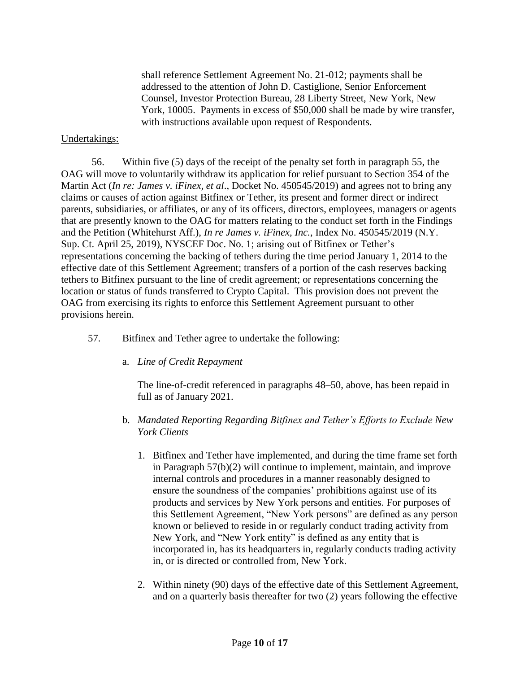shall reference Settlement Agreement No. 21-012; payments shall be addressed to the attention of John D. Castiglione, Senior Enforcement Counsel, Investor Protection Bureau, 28 Liberty Street, New York, New York, 10005. Payments in excess of \$50,000 shall be made by wire transfer, with instructions available upon request of Respondents.

#### Undertakings:

56. Within five (5) days of the receipt of the penalty set forth in paragraph 55, the OAG will move to voluntarily withdraw its application for relief pursuant to Section 354 of the Martin Act (*In re: James v. iFinex, et al*., Docket No. 450545/2019) and agrees not to bring any claims or causes of action against Bitfinex or Tether, its present and former direct or indirect parents, subsidiaries, or affiliates, or any of its officers, directors, employees, managers or agents that are presently known to the OAG for matters relating to the conduct set forth in the Findings and the Petition (Whitehurst Aff.), *In re James v. iFinex, Inc.*, Index No. 450545/2019 (N.Y. Sup. Ct. April 25, 2019), NYSCEF Doc. No. 1; arising out of Bitfinex or Tether's representations concerning the backing of tethers during the time period January 1, 2014 to the effective date of this Settlement Agreement; transfers of a portion of the cash reserves backing tethers to Bitfinex pursuant to the line of credit agreement; or representations concerning the location or status of funds transferred to Crypto Capital. This provision does not prevent the OAG from exercising its rights to enforce this Settlement Agreement pursuant to other provisions herein.

- 57. Bitfinex and Tether agree to undertake the following:
	- a. *Line of Credit Repayment*

The line-of-credit referenced in paragraphs 48–50, above, has been repaid in full as of January 2021.

- b. *Mandated Reporting Regarding Bitfinex and Tether's Efforts to Exclude New York Clients*
	- 1. Bitfinex and Tether have implemented, and during the time frame set forth in Paragraph 57(b)(2) will continue to implement, maintain, and improve internal controls and procedures in a manner reasonably designed to ensure the soundness of the companies' prohibitions against use of its products and services by New York persons and entities. For purposes of this Settlement Agreement, "New York persons" are defined as any person known or believed to reside in or regularly conduct trading activity from New York, and "New York entity" is defined as any entity that is incorporated in, has its headquarters in, regularly conducts trading activity in, or is directed or controlled from, New York.
	- 2. Within ninety (90) days of the effective date of this Settlement Agreement, and on a quarterly basis thereafter for two (2) years following the effective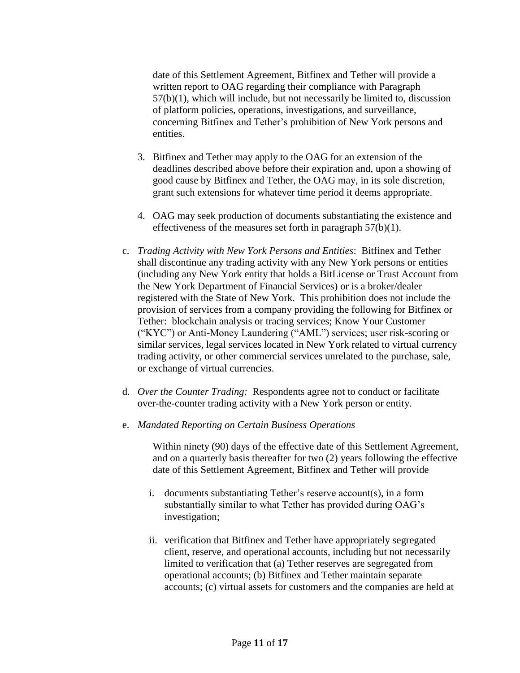date of this Settlement Agreement, Bitfinex and Tether will provide a written report to OAG regarding their compliance with Paragraph 57(b)(1), which will include, but not necessarily be limited to, discussion of platform policies, operations, investigations, and surveillance, concerning Bitfinex and Tether's prohibition of New York persons and entities.

- 3. Bitfinex and Tether may apply to the OAG for an extension of the deadlines described above before their expiration and, upon a showing of good cause by Bitfinex and Tether, the OAG may, in its sole discretion, grant such extensions for whatever time period it deems appropriate.
- 4. OAG may seek production of documents substantiating the existence and effectiveness of the measures set forth in paragraph 57(b)(1).
- c. *Trading Activity with New York Persons and Entities*: Bitfinex and Tether shall discontinue any trading activity with any New York persons or entities (including any New York entity that holds a BitLicense or Trust Account from the New York Department of Financial Services) or is a broker/dealer registered with the State of New York. This prohibition does not include the provision of services from a company providing the following for Bitfinex or Tether: blockchain analysis or tracing services; Know Your Customer ("KYC") or Anti-Money Laundering ("AML") services; user risk-scoring or similar services, legal services located in New York related to virtual currency trading activity, or other commercial services unrelated to the purchase, sale, or exchange of virtual currencies.
- d. *Over the Counter Trading:* Respondents agree not to conduct or facilitate over-the-counter trading activity with a New York person or entity.
- e. *Mandated Reporting on Certain Business Operations*

Within ninety (90) days of the effective date of this Settlement Agreement, and on a quarterly basis thereafter for two (2) years following the effective date of this Settlement Agreement, Bitfinex and Tether will provide

- i. documents substantiating Tether's reserve account(s), in a form substantially similar to what Tether has provided during OAG's investigation;
- ii. verification that Bitfinex and Tether have appropriately segregated client, reserve, and operational accounts, including but not necessarily limited to verification that (a) Tether reserves are segregated from operational accounts; (b) Bitfinex and Tether maintain separate accounts; (c) virtual assets for customers and the companies are held at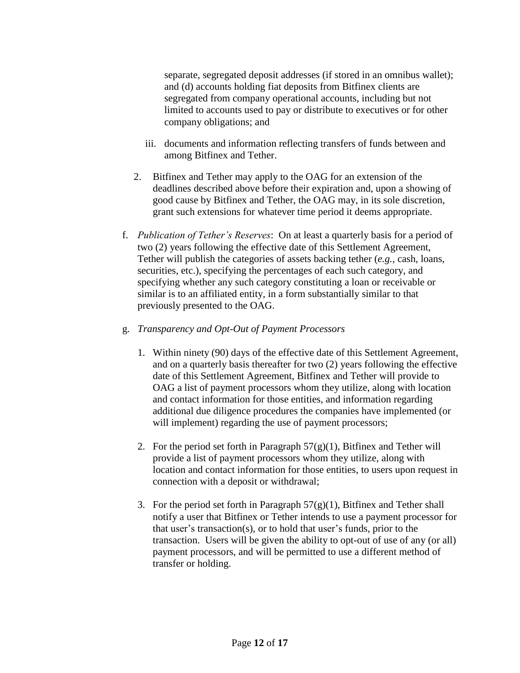separate, segregated deposit addresses (if stored in an omnibus wallet); and (d) accounts holding fiat deposits from Bitfinex clients are segregated from company operational accounts, including but not limited to accounts used to pay or distribute to executives or for other company obligations; and

- iii. documents and information reflecting transfers of funds between and among Bitfinex and Tether.
- 2. Bitfinex and Tether may apply to the OAG for an extension of the deadlines described above before their expiration and, upon a showing of good cause by Bitfinex and Tether, the OAG may, in its sole discretion, grant such extensions for whatever time period it deems appropriate.
- f. *Publication of Tether's Reserves*: On at least a quarterly basis for a period of two (2) years following the effective date of this Settlement Agreement, Tether will publish the categories of assets backing tether (*e.g.*, cash, loans, securities, etc.), specifying the percentages of each such category, and specifying whether any such category constituting a loan or receivable or similar is to an affiliated entity, in a form substantially similar to that previously presented to the OAG.
- g. *Transparency and Opt-Out of Payment Processors* 
	- 1. Within ninety (90) days of the effective date of this Settlement Agreement, and on a quarterly basis thereafter for two (2) years following the effective date of this Settlement Agreement, Bitfinex and Tether will provide to OAG a list of payment processors whom they utilize, along with location and contact information for those entities, and information regarding additional due diligence procedures the companies have implemented (or will implement) regarding the use of payment processors;
	- 2. For the period set forth in Paragraph  $57(g)(1)$ , Bitfinex and Tether will provide a list of payment processors whom they utilize, along with location and contact information for those entities, to users upon request in connection with a deposit or withdrawal;
	- 3. For the period set forth in Paragraph  $57(g)(1)$ , Bitfinex and Tether shall notify a user that Bitfinex or Tether intends to use a payment processor for that user's transaction(s), or to hold that user's funds, prior to the transaction. Users will be given the ability to opt-out of use of any (or all) payment processors, and will be permitted to use a different method of transfer or holding.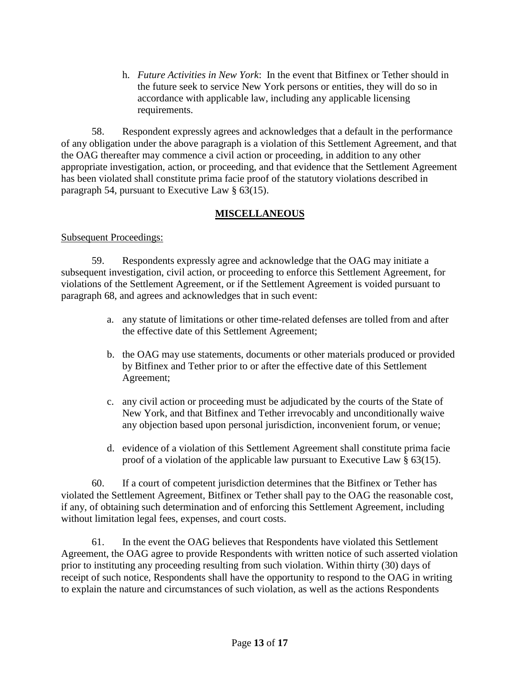h. *Future Activities in New York*: In the event that Bitfinex or Tether should in the future seek to service New York persons or entities, they will do so in accordance with applicable law, including any applicable licensing requirements.

58. Respondent expressly agrees and acknowledges that a default in the performance of any obligation under the above paragraph is a violation of this Settlement Agreement, and that the OAG thereafter may commence a civil action or proceeding, in addition to any other appropriate investigation, action, or proceeding, and that evidence that the Settlement Agreement has been violated shall constitute prima facie proof of the statutory violations described in paragraph 54, pursuant to Executive Law § 63(15).

## **MISCELLANEOUS**

### Subsequent Proceedings:

59. Respondents expressly agree and acknowledge that the OAG may initiate a subsequent investigation, civil action, or proceeding to enforce this Settlement Agreement, for violations of the Settlement Agreement, or if the Settlement Agreement is voided pursuant to paragraph 68, and agrees and acknowledges that in such event:

- a. any statute of limitations or other time-related defenses are tolled from and after the effective date of this Settlement Agreement;
- b. the OAG may use statements, documents or other materials produced or provided by Bitfinex and Tether prior to or after the effective date of this Settlement Agreement;
- c. any civil action or proceeding must be adjudicated by the courts of the State of New York, and that Bitfinex and Tether irrevocably and unconditionally waive any objection based upon personal jurisdiction, inconvenient forum, or venue;
- d. evidence of a violation of this Settlement Agreement shall constitute prima facie proof of a violation of the applicable law pursuant to Executive Law § 63(15).

60. If a court of competent jurisdiction determines that the Bitfinex or Tether has violated the Settlement Agreement, Bitfinex or Tether shall pay to the OAG the reasonable cost, if any, of obtaining such determination and of enforcing this Settlement Agreement, including without limitation legal fees, expenses, and court costs.

61. In the event the OAG believes that Respondents have violated this Settlement Agreement, the OAG agree to provide Respondents with written notice of such asserted violation prior to instituting any proceeding resulting from such violation. Within thirty (30) days of receipt of such notice, Respondents shall have the opportunity to respond to the OAG in writing to explain the nature and circumstances of such violation, as well as the actions Respondents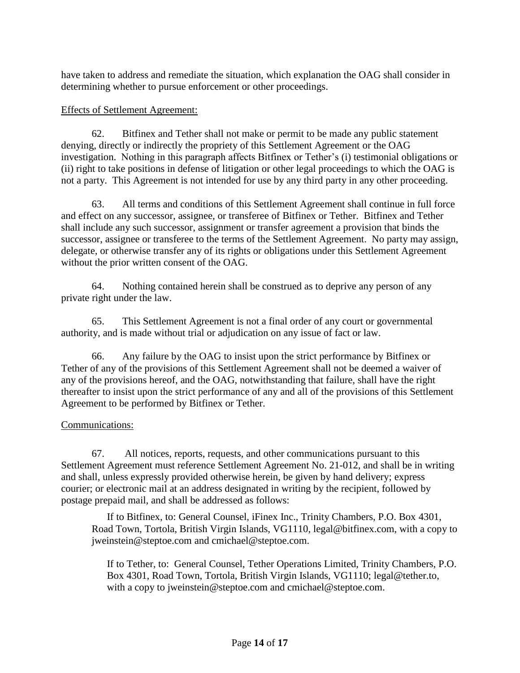have taken to address and remediate the situation, which explanation the OAG shall consider in determining whether to pursue enforcement or other proceedings.

### Effects of Settlement Agreement:

62. Bitfinex and Tether shall not make or permit to be made any public statement denying, directly or indirectly the propriety of this Settlement Agreement or the OAG investigation. Nothing in this paragraph affects Bitfinex or Tether's (i) testimonial obligations or (ii) right to take positions in defense of litigation or other legal proceedings to which the OAG is not a party. This Agreement is not intended for use by any third party in any other proceeding.

63. All terms and conditions of this Settlement Agreement shall continue in full force and effect on any successor, assignee, or transferee of Bitfinex or Tether. Bitfinex and Tether shall include any such successor, assignment or transfer agreement a provision that binds the successor, assignee or transferee to the terms of the Settlement Agreement. No party may assign, delegate, or otherwise transfer any of its rights or obligations under this Settlement Agreement without the prior written consent of the OAG.

64. Nothing contained herein shall be construed as to deprive any person of any private right under the law.

65. This Settlement Agreement is not a final order of any court or governmental authority, and is made without trial or adjudication on any issue of fact or law.

66. Any failure by the OAG to insist upon the strict performance by Bitfinex or Tether of any of the provisions of this Settlement Agreement shall not be deemed a waiver of any of the provisions hereof, and the OAG, notwithstanding that failure, shall have the right thereafter to insist upon the strict performance of any and all of the provisions of this Settlement Agreement to be performed by Bitfinex or Tether.

## Communications:

67. All notices, reports, requests, and other communications pursuant to this Settlement Agreement must reference Settlement Agreement No. 21-012, and shall be in writing and shall, unless expressly provided otherwise herein, be given by hand delivery; express courier; or electronic mail at an address designated in writing by the recipient, followed by postage prepaid mail, and shall be addressed as follows:

If to Bitfinex, to: General Counsel, iFinex Inc., Trinity Chambers, P.O. Box 4301, Road Town, Tortola, British Virgin Islands, VG1110, legal@bitfinex.com, with a copy to jweinstein@steptoe.com and cmichael@steptoe.com.

If to Tether, to: General Counsel, Tether Operations Limited, Trinity Chambers, P.O. Box 4301, Road Town, Tortola, British Virgin Islands, VG1110; legal@tether.to, with a copy to jweinstein@steptoe.com and cmichael@steptoe.com.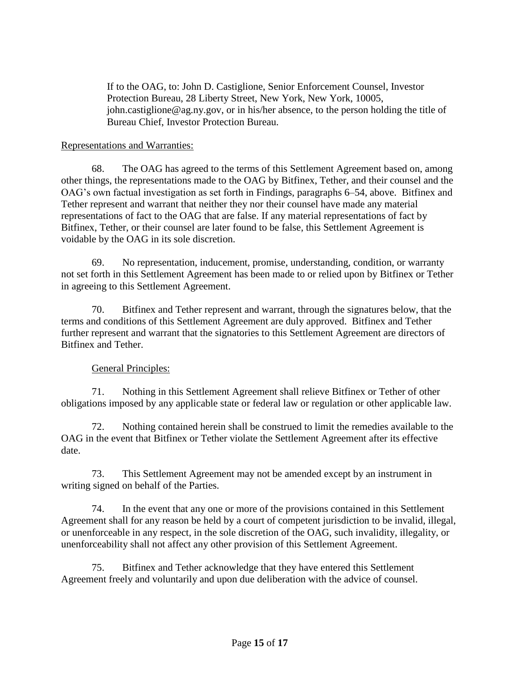If to the OAG, to: John D. Castiglione, Senior Enforcement Counsel, Investor Protection Bureau, 28 Liberty Street, New York, New York, 10005, john.castiglione@ag.ny.gov, or in his/her absence, to the person holding the title of Bureau Chief, Investor Protection Bureau.

### Representations and Warranties:

68. The OAG has agreed to the terms of this Settlement Agreement based on, among other things, the representations made to the OAG by Bitfinex, Tether, and their counsel and the OAG's own factual investigation as set forth in Findings, paragraphs 6–54, above. Bitfinex and Tether represent and warrant that neither they nor their counsel have made any material representations of fact to the OAG that are false. If any material representations of fact by Bitfinex, Tether, or their counsel are later found to be false, this Settlement Agreement is voidable by the OAG in its sole discretion.

69. No representation, inducement, promise, understanding, condition, or warranty not set forth in this Settlement Agreement has been made to or relied upon by Bitfinex or Tether in agreeing to this Settlement Agreement.

70. Bitfinex and Tether represent and warrant, through the signatures below, that the terms and conditions of this Settlement Agreement are duly approved. Bitfinex and Tether further represent and warrant that the signatories to this Settlement Agreement are directors of Bitfinex and Tether.

## General Principles:

71. Nothing in this Settlement Agreement shall relieve Bitfinex or Tether of other obligations imposed by any applicable state or federal law or regulation or other applicable law.

72. Nothing contained herein shall be construed to limit the remedies available to the OAG in the event that Bitfinex or Tether violate the Settlement Agreement after its effective date.

73. This Settlement Agreement may not be amended except by an instrument in writing signed on behalf of the Parties.

74. In the event that any one or more of the provisions contained in this Settlement Agreement shall for any reason be held by a court of competent jurisdiction to be invalid, illegal, or unenforceable in any respect, in the sole discretion of the OAG, such invalidity, illegality, or unenforceability shall not affect any other provision of this Settlement Agreement.

75. Bitfinex and Tether acknowledge that they have entered this Settlement Agreement freely and voluntarily and upon due deliberation with the advice of counsel.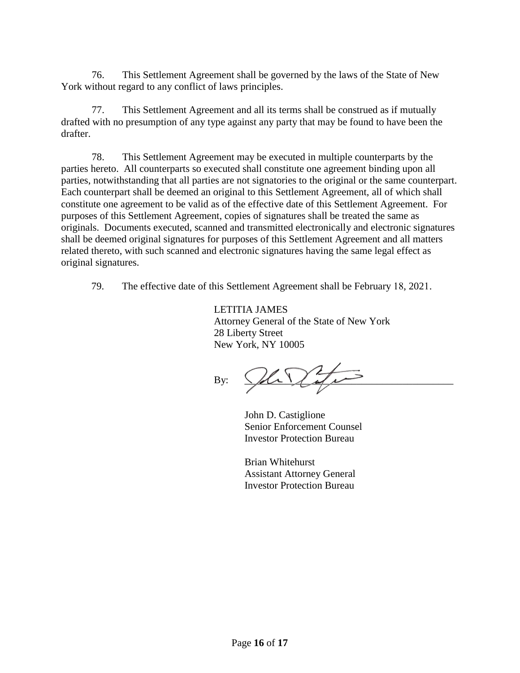76. This Settlement Agreement shall be governed by the laws of the State of New York without regard to any conflict of laws principles.

77. This Settlement Agreement and all its terms shall be construed as if mutually drafted with no presumption of any type against any party that may be found to have been the drafter.

78. This Settlement Agreement may be executed in multiple counterparts by the parties hereto. All counterparts so executed shall constitute one agreement binding upon all parties, notwithstanding that all parties are not signatories to the original or the same counterpart. Each counterpart shall be deemed an original to this Settlement Agreement, all of which shall constitute one agreement to be valid as of the effective date of this Settlement Agreement. For purposes of this Settlement Agreement, copies of signatures shall be treated the same as originals. Documents executed, scanned and transmitted electronically and electronic signatures shall be deemed original signatures for purposes of this Settlement Agreement and all matters related thereto, with such scanned and electronic signatures having the same legal effect as original signatures.

79. The effective date of this Settlement Agreement shall be February 18, 2021.

LETITIA JAMES Attorney General of the State of New York 28 Liberty Street New York, NY 10005

By:  $\bigcup_{i=1}^n A_i$ 

John D. Castiglione Senior Enforcement Counsel Investor Protection Bureau

Brian Whitehurst Assistant Attorney General Investor Protection Bureau